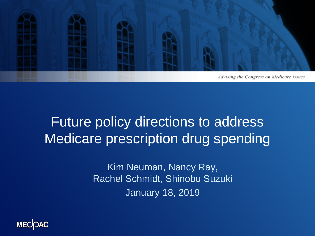

### Future policy directions to address Medicare prescription drug spending

Kim Neuman, Nancy Ray, Rachel Schmidt, Shinobu Suzuki January 18, 2019

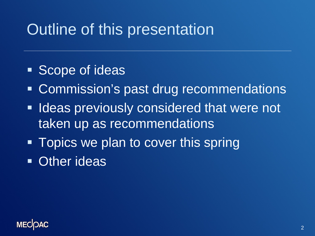## Outline of this presentation

- **Scope of ideas**
- Commission's past drug recommendations
- **If Ideas previously considered that were not** taken up as recommendations
- Topics we plan to cover this spring
- **Other ideas**

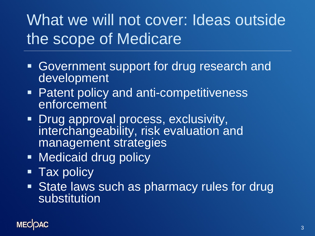## What we will not cover: Ideas outside the scope of Medicare

- Government support for drug research and development
- Patent policy and anti-competitiveness enforcement
- **Drug approval process, exclusivity,** interchangeability, risk evaluation and management strategies
- **Nedicaid drug policy**
- **Tax policy**
- **State laws such as pharmacy rules for drug** substitution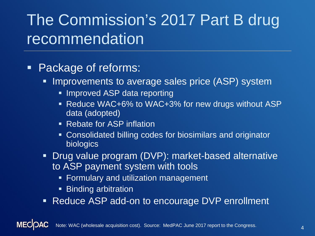## The Commission's 2017 Part B drug recommendation

#### **Package of reforms:**

- Improvements to average sales price (ASP) system
	- **Improved ASP data reporting**
	- Reduce WAC+6% to WAC+3% for new drugs without ASP data (adopted)
	- **Rebate for ASP inflation**
	- **Consolidated billing codes for biosimilars and originator** biologics
- **Drug value program (DVP): market-based alternative** to ASP payment system with tools
	- **Formulary and utilization management**
	- **Binding arbitration**
- **Reduce ASP add-on to encourage DVP enrollment**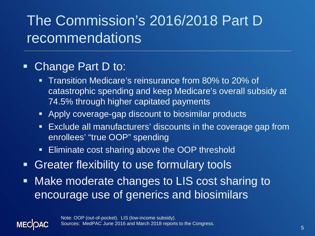### The Commission's 2016/2018 Part D recommendations

#### • Change Part D to:

**MEC** 

- **Transition Medicare's reinsurance from 80% to 20% of** catastrophic spending and keep Medicare's overall subsidy at 74.5% through higher capitated payments
- Apply coverage-gap discount to biosimilar products
- Exclude all manufacturers' discounts in the coverage gap from enrollees' "true OOP" spending
- **Eliminate cost sharing above the OOP threshold**
- **Greater flexibility to use formulary tools**
- **Make moderate changes to LIS cost sharing to** encourage use of generics and biosimilars

Note: OOP (out-of-pocket). LIS (low-income subsidy). Sources: MedPAC June 2016 and March 2018 reports to the Congress.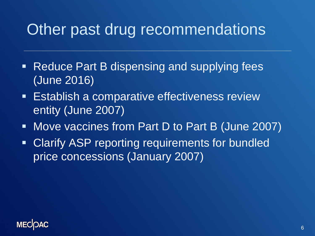### Other past drug recommendations

- Reduce Part B dispensing and supplying fees (June 2016)
- **Establish a comparative effectiveness review** entity (June 2007)
- Move vaccines from Part D to Part B (June 2007)
- **EXA)** Clarify ASP reporting requirements for bundled price concessions (January 2007)

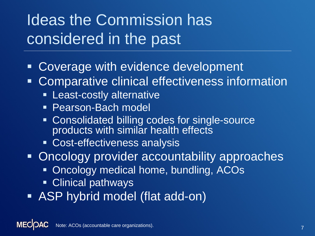## Ideas the Commission has considered in the past

- Coverage with evidence development
- Comparative clinical effectiveness information
	- **Least-costly alternative**
	- **Pearson-Bach model**
	- **EX Consolidated billing codes for single-source** products with similar health effects
	- Cost-effectiveness analysis

**• Oncology provider accountability approaches** 

- **Oncology medical home, bundling, ACOs**
- **Clinical pathways**
- ASP hybrid model (flat add-on)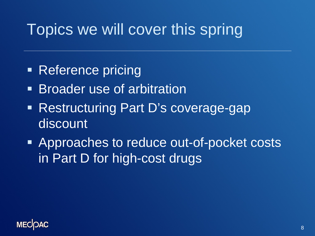### Topics we will cover this spring

- Reference pricing
- **Broader use of arbitration**
- Restructuring Part D's coverage-gap discount
- Approaches to reduce out-of-pocket costs in Part D for high-cost drugs

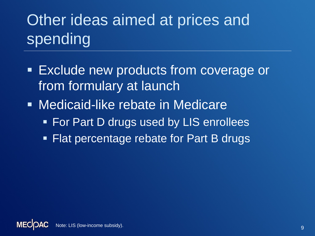# Other ideas aimed at prices and spending

- **Exclude new products from coverage or** from formulary at launch
- **Medicaid-like rebate in Medicare** 
	- **For Part D drugs used by LIS enrollees**
	- **Flat percentage rebate for Part B drugs**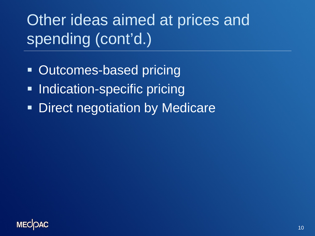Other ideas aimed at prices and spending (cont'd.)

- Outcomes-based pricing
- **Indication-specific pricing**
- **Direct negotiation by Medicare**

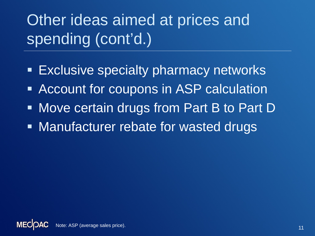Other ideas aimed at prices and spending (cont'd.)

- **Exclusive specialty pharmacy networks**
- **Account for coupons in ASP calculation**
- **Move certain drugs from Part B to Part D**
- **Manufacturer rebate for wasted drugs**